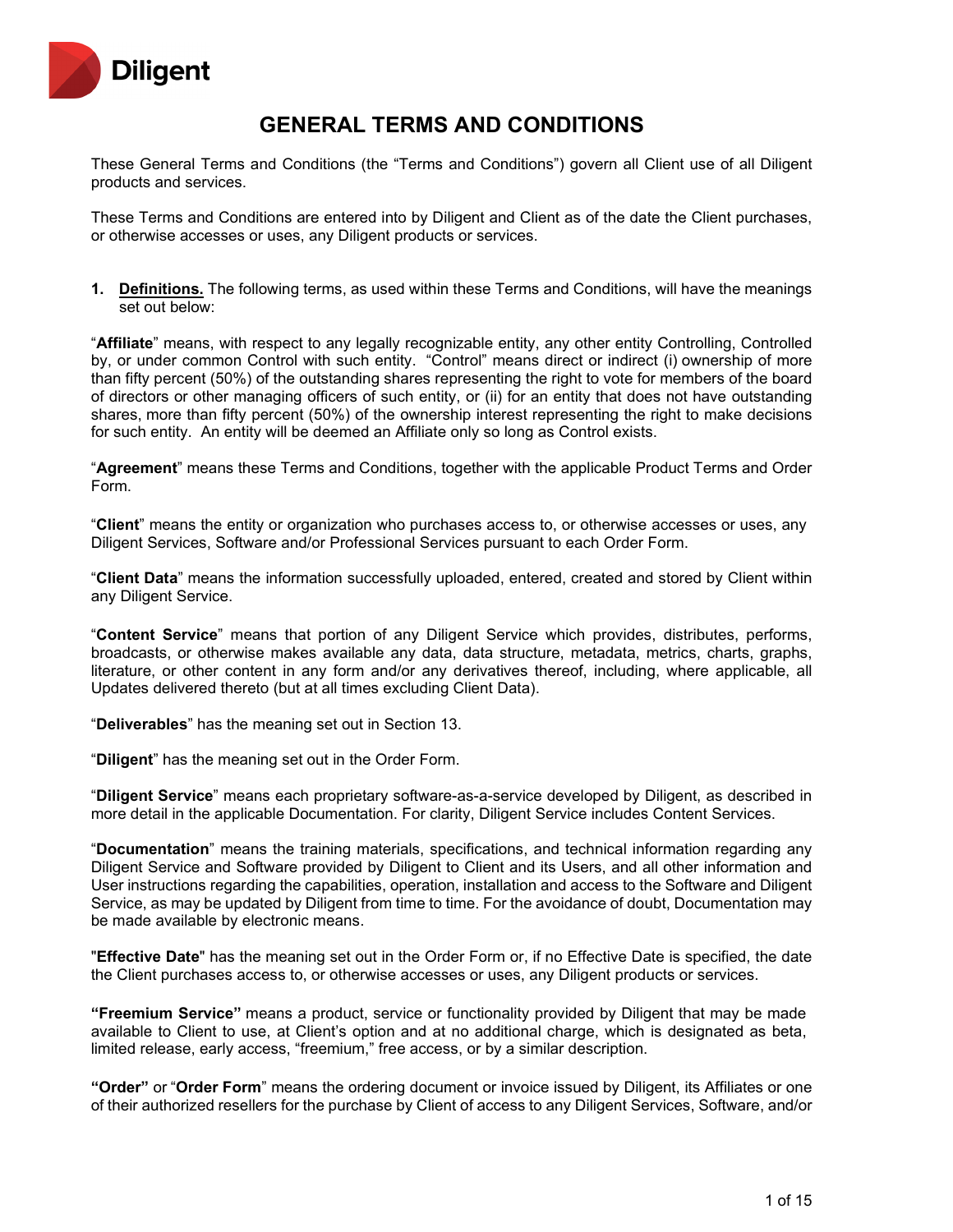

# **GENERAL TERMS AND CONDITIONS**

These General Terms and Conditions (the "Terms and Conditions") govern all Client use of all Diligent products and services.

These Terms and Conditions are entered into by Diligent and Client as of the date the Client purchases, or otherwise accesses or uses, any Diligent products or services.

**1. Definitions.** The following terms, as used within these Terms and Conditions, will have the meanings set out below:

"**Affiliate**" means, with respect to any legally recognizable entity, any other entity Controlling, Controlled by, or under common Control with such entity. "Control" means direct or indirect (i) ownership of more than fifty percent (50%) of the outstanding shares representing the right to vote for members of the board of directors or other managing officers of such entity, or (ii) for an entity that does not have outstanding shares, more than fifty percent (50%) of the ownership interest representing the right to make decisions for such entity. An entity will be deemed an Affiliate only so long as Control exists.

"**Agreement**" means these Terms and Conditions, together with the applicable Product Terms and Order Form.

"**Client**" means the entity or organization who purchases access to, or otherwise accesses or uses, any Diligent Services, Software and/or Professional Services pursuant to each Order Form.

"**Client Data**" means the information successfully uploaded, entered, created and stored by Client within any Diligent Service.

"**Content Service**" means that portion of any Diligent Service which provides, distributes, performs, broadcasts, or otherwise makes available any data, data structure, metadata, metrics, charts, graphs, literature, or other content in any form and/or any derivatives thereof, including, where applicable, all Updates delivered thereto (but at all times excluding Client Data).

"**Deliverables**" has the meaning set out in Section 13.

"**Diligent**" has the meaning set out in the Order Form.

"**Diligent Service**" means each proprietary software-as-a-service developed by Diligent, as described in more detail in the applicable Documentation. For clarity, Diligent Service includes Content Services.

"**Documentation**" means the training materials, specifications, and technical information regarding any Diligent Service and Software provided by Diligent to Client and its Users, and all other information and User instructions regarding the capabilities, operation, installation and access to the Software and Diligent Service, as may be updated by Diligent from time to time. For the avoidance of doubt, Documentation may be made available by electronic means.

"**Effective Date**" has the meaning set out in the Order Form or, if no Effective Date is specified, the date the Client purchases access to, or otherwise accesses or uses, any Diligent products or services.

**"Freemium Service"** means a product, service or functionality provided by Diligent that may be made available to Client to use, at Client's option and at no additional charge, which is designated as beta, limited release, early access, "freemium," free access, or by a similar description.

**"Order"** or "**Order Form**" means the ordering document or invoice issued by Diligent, its Affiliates or one of their authorized resellers for the purchase by Client of access to any Diligent Services, Software, and/or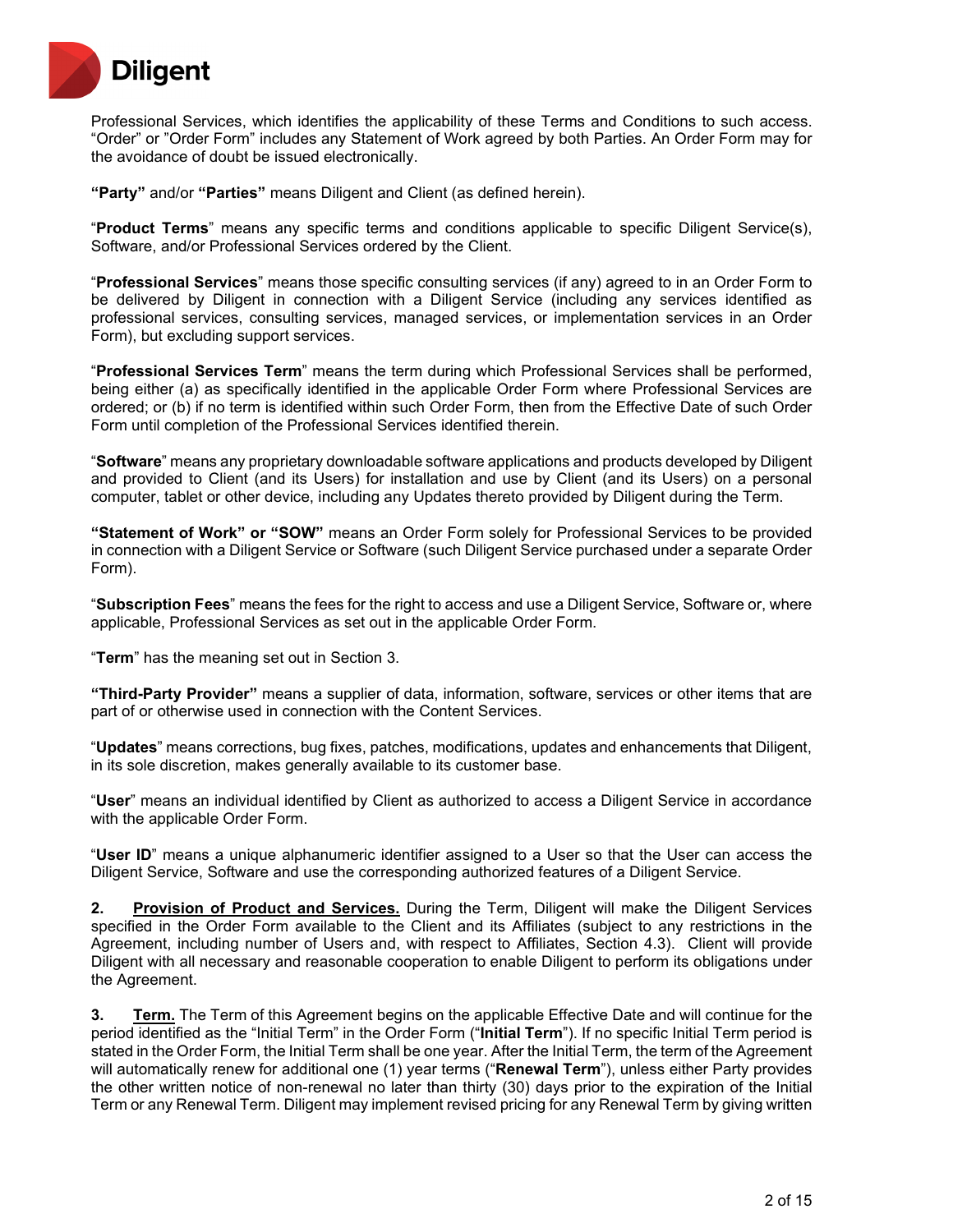

Professional Services, which identifies the applicability of these Terms and Conditions to such access. "Order" or "Order Form" includes any Statement of Work agreed by both Parties. An Order Form may for the avoidance of doubt be issued electronically.

**"Party"** and/or **"Parties"** means Diligent and Client (as defined herein).

"**Product Terms**" means any specific terms and conditions applicable to specific Diligent Service(s), Software, and/or Professional Services ordered by the Client.

"**Professional Services**" means those specific consulting services (if any) agreed to in an Order Form to be delivered by Diligent in connection with a Diligent Service (including any services identified as professional services, consulting services, managed services, or implementation services in an Order Form), but excluding support services.

"**Professional Services Term**" means the term during which Professional Services shall be performed, being either (a) as specifically identified in the applicable Order Form where Professional Services are ordered; or (b) if no term is identified within such Order Form, then from the Effective Date of such Order Form until completion of the Professional Services identified therein.

"**Software**" means any proprietary downloadable software applications and products developed by Diligent and provided to Client (and its Users) for installation and use by Client (and its Users) on a personal computer, tablet or other device, including any Updates thereto provided by Diligent during the Term.

**"Statement of Work" or "SOW"** means an Order Form solely for Professional Services to be provided in connection with a Diligent Service or Software (such Diligent Service purchased under a separate Order Form).

"**Subscription Fees**" means the fees for the right to access and use a Diligent Service, Software or, where applicable, Professional Services as set out in the applicable Order Form.

"**Term**" has the meaning set out in Section 3.

**"Third-Party Provider"** means a supplier of data, information, software, services or other items that are part of or otherwise used in connection with the Content Services.

"**Updates**" means corrections, bug fixes, patches, modifications, updates and enhancements that Diligent, in its sole discretion, makes generally available to its customer base.

"**User**" means an individual identified by Client as authorized to access a Diligent Service in accordance with the applicable Order Form.

"**User ID**" means a unique alphanumeric identifier assigned to a User so that the User can access the Diligent Service, Software and use the corresponding authorized features of a Diligent Service.

**2. Provision of Product and Services.** During the Term, Diligent will make the Diligent Services specified in the Order Form available to the Client and its Affiliates (subject to any restrictions in the Agreement, including number of Users and, with respect to Affiliates, Section 4.3). Client will provide Diligent with all necessary and reasonable cooperation to enable Diligent to perform its obligations under the Agreement.

**3. Term.** The Term of this Agreement begins on the applicable Effective Date and will continue for the period identified as the "Initial Term" in the Order Form ("**Initial Term**"). If no specific Initial Term period is stated in the Order Form, the Initial Term shall be one year. After the Initial Term, the term of the Agreement will automatically renew for additional one (1) year terms ("**Renewal Term**"), unless either Party provides the other written notice of non-renewal no later than thirty (30) days prior to the expiration of the Initial Term or any Renewal Term. Diligent may implement revised pricing for any Renewal Term by giving written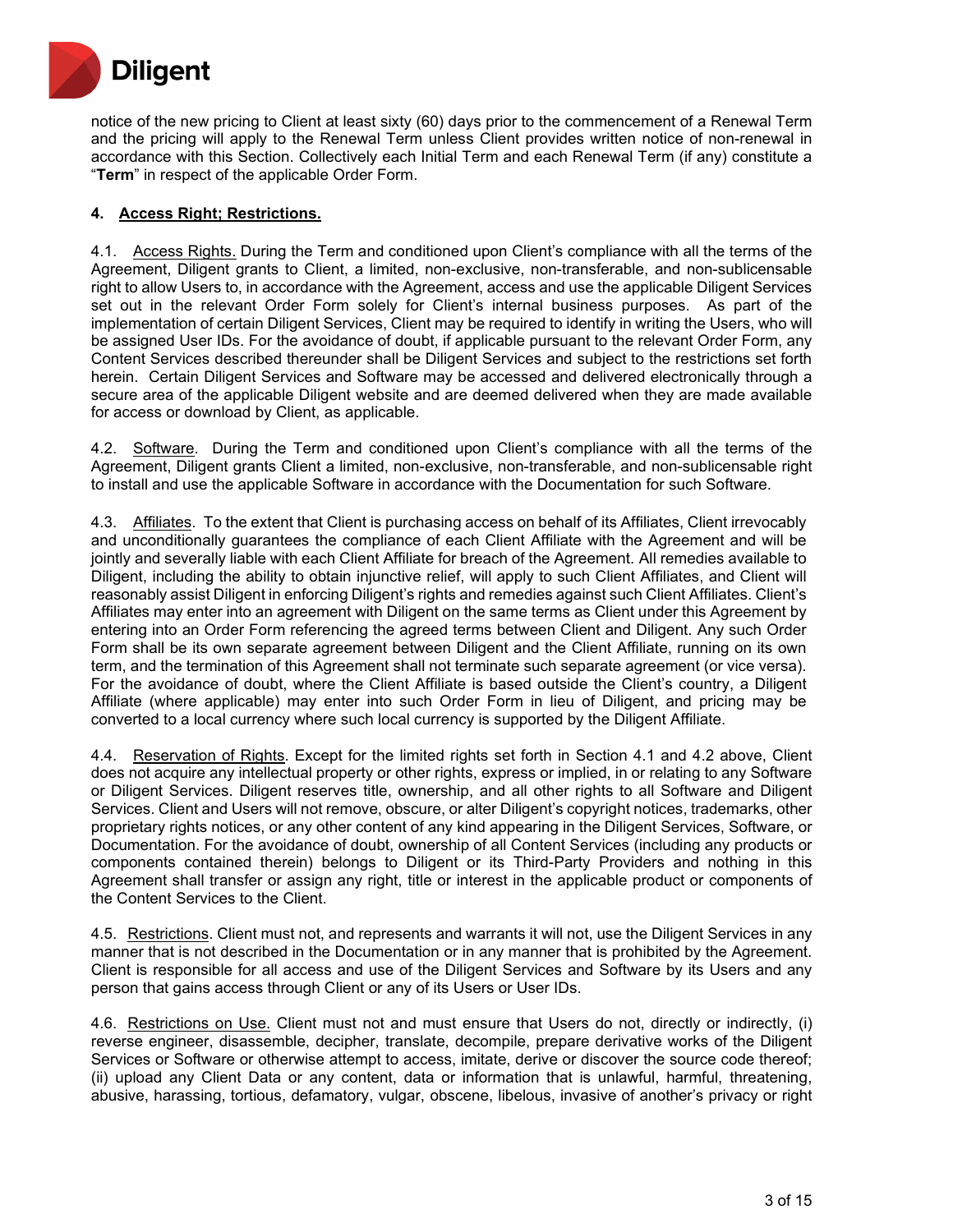

notice of the new pricing to Client at least sixty (60) days prior to the commencement of a Renewal Term and the pricing will apply to the Renewal Term unless Client provides written notice of non-renewal in accordance with this Section. Collectively each Initial Term and each Renewal Term (if any) constitute a "**Term**" in respect of the applicable Order Form.

### **4. Access Right; Restrictions.**

4.1. Access Rights. During the Term and conditioned upon Client's compliance with all the terms of the Agreement, Diligent grants to Client, a limited, non-exclusive, non-transferable, and non-sublicensable right to allow Users to, in accordance with the Agreement, access and use the applicable Diligent Services set out in the relevant Order Form solely for Client's internal business purposes. As part of the implementation of certain Diligent Services, Client may be required to identify in writing the Users, who will be assigned User IDs. For the avoidance of doubt, if applicable pursuant to the relevant Order Form, any Content Services described thereunder shall be Diligent Services and subject to the restrictions set forth herein. Certain Diligent Services and Software may be accessed and delivered electronically through a secure area of the applicable Diligent website and are deemed delivered when they are made available for access or download by Client, as applicable.

4.2. Software. During the Term and conditioned upon Client's compliance with all the terms of the Agreement, Diligent grants Client a limited, non-exclusive, non-transferable, and non-sublicensable right to install and use the applicable Software in accordance with the Documentation for such Software.

4.3. Affiliates. To the extent that Client is purchasing access on behalf of its Affiliates, Client irrevocably and unconditionally guarantees the compliance of each Client Affiliate with the Agreement and will be jointly and severally liable with each Client Affiliate for breach of the Agreement. All remedies available to Diligent, including the ability to obtain injunctive relief, will apply to such Client Affiliates, and Client will reasonably assist Diligent in enforcing Diligent's rights and remedies against such Client Affiliates. Client's Affiliates may enter into an agreement with Diligent on the same terms as Client under this Agreement by entering into an Order Form referencing the agreed terms between Client and Diligent. Any such Order Form shall be its own separate agreement between Diligent and the Client Affiliate, running on its own term, and the termination of this Agreement shall not terminate such separate agreement (or vice versa). For the avoidance of doubt, where the Client Affiliate is based outside the Client's country, a Diligent Affiliate (where applicable) may enter into such Order Form in lieu of Diligent, and pricing may be converted to a local currency where such local currency is supported by the Diligent Affiliate.

4.4. Reservation of Rights. Except for the limited rights set forth in Section 4.1 and 4.2 above, Client does not acquire any intellectual property or other rights, express or implied, in or relating to any Software or Diligent Services. Diligent reserves title, ownership, and all other rights to all Software and Diligent Services. Client and Users will not remove, obscure, or alter Diligent's copyright notices, trademarks, other proprietary rights notices, or any other content of any kind appearing in the Diligent Services, Software, or Documentation. For the avoidance of doubt, ownership of all Content Services (including any products or components contained therein) belongs to Diligent or its Third-Party Providers and nothing in this Agreement shall transfer or assign any right, title or interest in the applicable product or components of the Content Services to the Client.

4.5. Restrictions. Client must not, and represents and warrants it will not, use the Diligent Services in any manner that is not described in the Documentation or in any manner that is prohibited by the Agreement. Client is responsible for all access and use of the Diligent Services and Software by its Users and any person that gains access through Client or any of its Users or User IDs.

4.6. Restrictions on Use. Client must not and must ensure that Users do not, directly or indirectly, (i) reverse engineer, disassemble, decipher, translate, decompile, prepare derivative works of the Diligent Services or Software or otherwise attempt to access, imitate, derive or discover the source code thereof; (ii) upload any Client Data or any content, data or information that is unlawful, harmful, threatening, abusive, harassing, tortious, defamatory, vulgar, obscene, libelous, invasive of another's privacy or right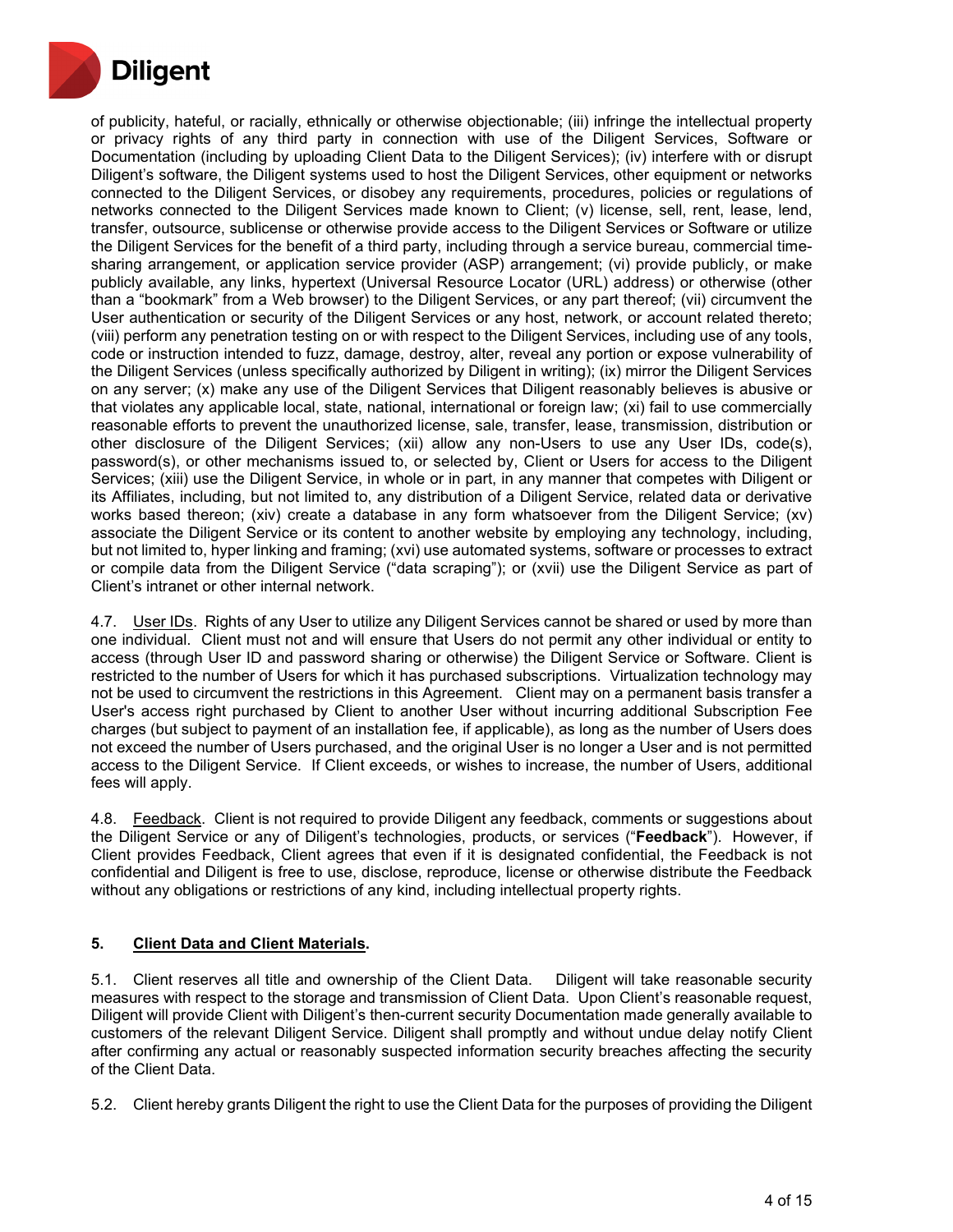

of publicity, hateful, or racially, ethnically or otherwise objectionable; (iii) infringe the intellectual property or privacy rights of any third party in connection with use of the Diligent Services, Software or Documentation (including by uploading Client Data to the Diligent Services); (iv) interfere with or disrupt Diligent's software, the Diligent systems used to host the Diligent Services, other equipment or networks connected to the Diligent Services, or disobey any requirements, procedures, policies or regulations of networks connected to the Diligent Services made known to Client; (v) license, sell, rent, lease, lend, transfer, outsource, sublicense or otherwise provide access to the Diligent Services or Software or utilize the Diligent Services for the benefit of a third party, including through a service bureau, commercial timesharing arrangement, or application service provider (ASP) arrangement; (vi) provide publicly, or make publicly available, any links, hypertext (Universal Resource Locator (URL) address) or otherwise (other than a "bookmark" from a Web browser) to the Diligent Services, or any part thereof; (vii) circumvent the User authentication or security of the Diligent Services or any host, network, or account related thereto; (viii) perform any penetration testing on or with respect to the Diligent Services, including use of any tools, code or instruction intended to fuzz, damage, destroy, alter, reveal any portion or expose vulnerability of the Diligent Services (unless specifically authorized by Diligent in writing); (ix) mirror the Diligent Services on any server; (x) make any use of the Diligent Services that Diligent reasonably believes is abusive or that violates any applicable local, state, national, international or foreign law; (xi) fail to use commercially reasonable efforts to prevent the unauthorized license, sale, transfer, lease, transmission, distribution or other disclosure of the Diligent Services; (xii) allow any non-Users to use any User IDs, code(s), password(s), or other mechanisms issued to, or selected by, Client or Users for access to the Diligent Services; (xiii) use the Diligent Service, in whole or in part, in any manner that competes with Diligent or its Affiliates, including, but not limited to, any distribution of a Diligent Service, related data or derivative works based thereon; (xiv) create a database in any form whatsoever from the Diligent Service; (xv) associate the Diligent Service or its content to another website by employing any technology, including, but not limited to, hyper linking and framing; (xvi) use automated systems, software or processes to extract or compile data from the Diligent Service ("data scraping"); or (xvii) use the Diligent Service as part of Client's intranet or other internal network.

4.7. User IDs. Rights of any User to utilize any Diligent Services cannot be shared or used by more than one individual. Client must not and will ensure that Users do not permit any other individual or entity to access (through User ID and password sharing or otherwise) the Diligent Service or Software. Client is restricted to the number of Users for which it has purchased subscriptions. Virtualization technology may not be used to circumvent the restrictions in this Agreement. Client may on a permanent basis transfer a User's access right purchased by Client to another User without incurring additional Subscription Fee charges (but subject to payment of an installation fee, if applicable), as long as the number of Users does not exceed the number of Users purchased, and the original User is no longer a User and is not permitted access to the Diligent Service. If Client exceeds, or wishes to increase, the number of Users, additional fees will apply.

4.8. Feedback. Client is not required to provide Diligent any feedback, comments or suggestions about the Diligent Service or any of Diligent's technologies, products, or services ("**Feedback**"). However, if Client provides Feedback, Client agrees that even if it is designated confidential, the Feedback is not confidential and Diligent is free to use, disclose, reproduce, license or otherwise distribute the Feedback without any obligations or restrictions of any kind, including intellectual property rights.

### **5. Client Data and Client Materials.**

5.1. Client reserves all title and ownership of the Client Data. Diligent will take reasonable security measures with respect to the storage and transmission of Client Data. Upon Client's reasonable request, Diligent will provide Client with Diligent's then-current security Documentation made generally available to customers of the relevant Diligent Service. Diligent shall promptly and without undue delay notify Client after confirming any actual or reasonably suspected information security breaches affecting the security of the Client Data.

5.2. Client hereby grants Diligent the right to use the Client Data for the purposes of providing the Diligent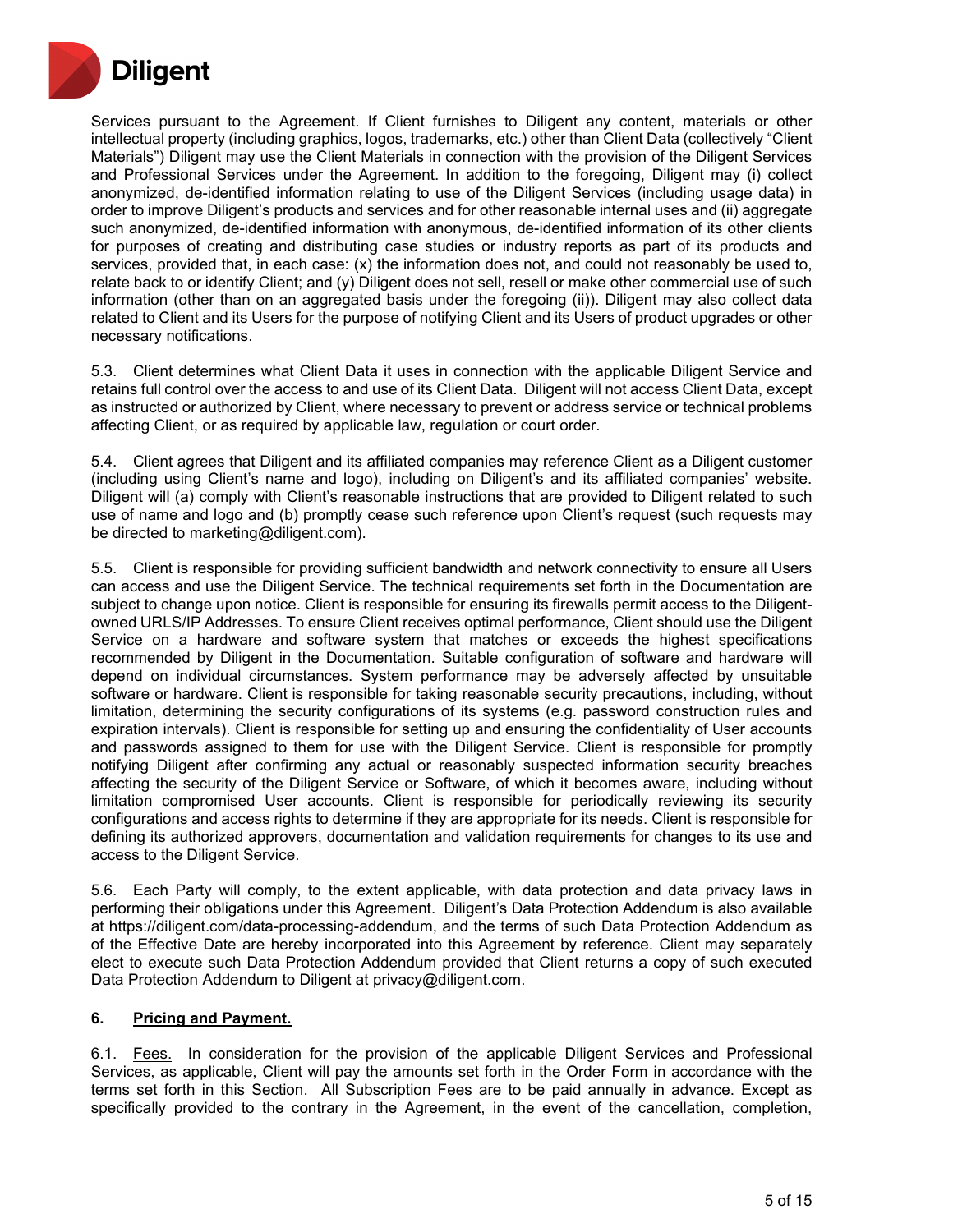

Services pursuant to the Agreement. If Client furnishes to Diligent any content, materials or other intellectual property (including graphics, logos, trademarks, etc.) other than Client Data (collectively "Client Materials") Diligent may use the Client Materials in connection with the provision of the Diligent Services and Professional Services under the Agreement. In addition to the foregoing, Diligent may (i) collect anonymized, de-identified information relating to use of the Diligent Services (including usage data) in order to improve Diligent's products and services and for other reasonable internal uses and (ii) aggregate such anonymized, de-identified information with anonymous, de-identified information of its other clients for purposes of creating and distributing case studies or industry reports as part of its products and services, provided that, in each case: (x) the information does not, and could not reasonably be used to, relate back to or identify Client; and (y) Diligent does not sell, resell or make other commercial use of such information (other than on an aggregated basis under the foregoing (ii)). Diligent may also collect data related to Client and its Users for the purpose of notifying Client and its Users of product upgrades or other necessary notifications.

5.3. Client determines what Client Data it uses in connection with the applicable Diligent Service and retains full control over the access to and use of its Client Data. Diligent will not access Client Data, except as instructed or authorized by Client, where necessary to prevent or address service or technical problems affecting Client, or as required by applicable law, regulation or court order.

5.4. Client agrees that Diligent and its affiliated companies may reference Client as a Diligent customer (including using Client's name and logo), including on Diligent's and its affiliated companies' website. Diligent will (a) comply with Client's reasonable instructions that are provided to Diligent related to such use of name and logo and (b) promptly cease such reference upon Client's request (such requests may be directed to marketing@diligent.com).

5.5. Client is responsible for providing sufficient bandwidth and network connectivity to ensure all Users can access and use the Diligent Service. The technical requirements set forth in the Documentation are subject to change upon notice. Client is responsible for ensuring its firewalls permit access to the Diligentowned URLS/IP Addresses. To ensure Client receives optimal performance, Client should use the Diligent Service on a hardware and software system that matches or exceeds the highest specifications recommended by Diligent in the Documentation. Suitable configuration of software and hardware will depend on individual circumstances. System performance may be adversely affected by unsuitable software or hardware. Client is responsible for taking reasonable security precautions, including, without limitation, determining the security configurations of its systems (e.g. password construction rules and expiration intervals). Client is responsible for setting up and ensuring the confidentiality of User accounts and passwords assigned to them for use with the Diligent Service. Client is responsible for promptly notifying Diligent after confirming any actual or reasonably suspected information security breaches affecting the security of the Diligent Service or Software, of which it becomes aware, including without limitation compromised User accounts. Client is responsible for periodically reviewing its security configurations and access rights to determine if they are appropriate for its needs. Client is responsible for defining its authorized approvers, documentation and validation requirements for changes to its use and access to the Diligent Service.

Each Party will comply, to the extent applicable, with data protection and data privacy laws in performing their obligations under this Agreement. Diligent's Data Protection Addendum is also available at https://diligent.com/data-processing-addendum, and the terms of such Data Protection Addendum as of the Effective Date are hereby incorporated into this Agreement by reference. Client may separately elect to execute such Data Protection Addendum provided that Client returns a copy of such executed Data Protection Addendum to Diligent at privacy@diligent.com.

### **6. Pricing and Payment.**

6.1. Fees. In consideration for the provision of the applicable Diligent Services and Professional Services, as applicable, Client will pay the amounts set forth in the Order Form in accordance with the terms set forth in this Section. All Subscription Fees are to be paid annually in advance. Except as specifically provided to the contrary in the Agreement, in the event of the cancellation, completion,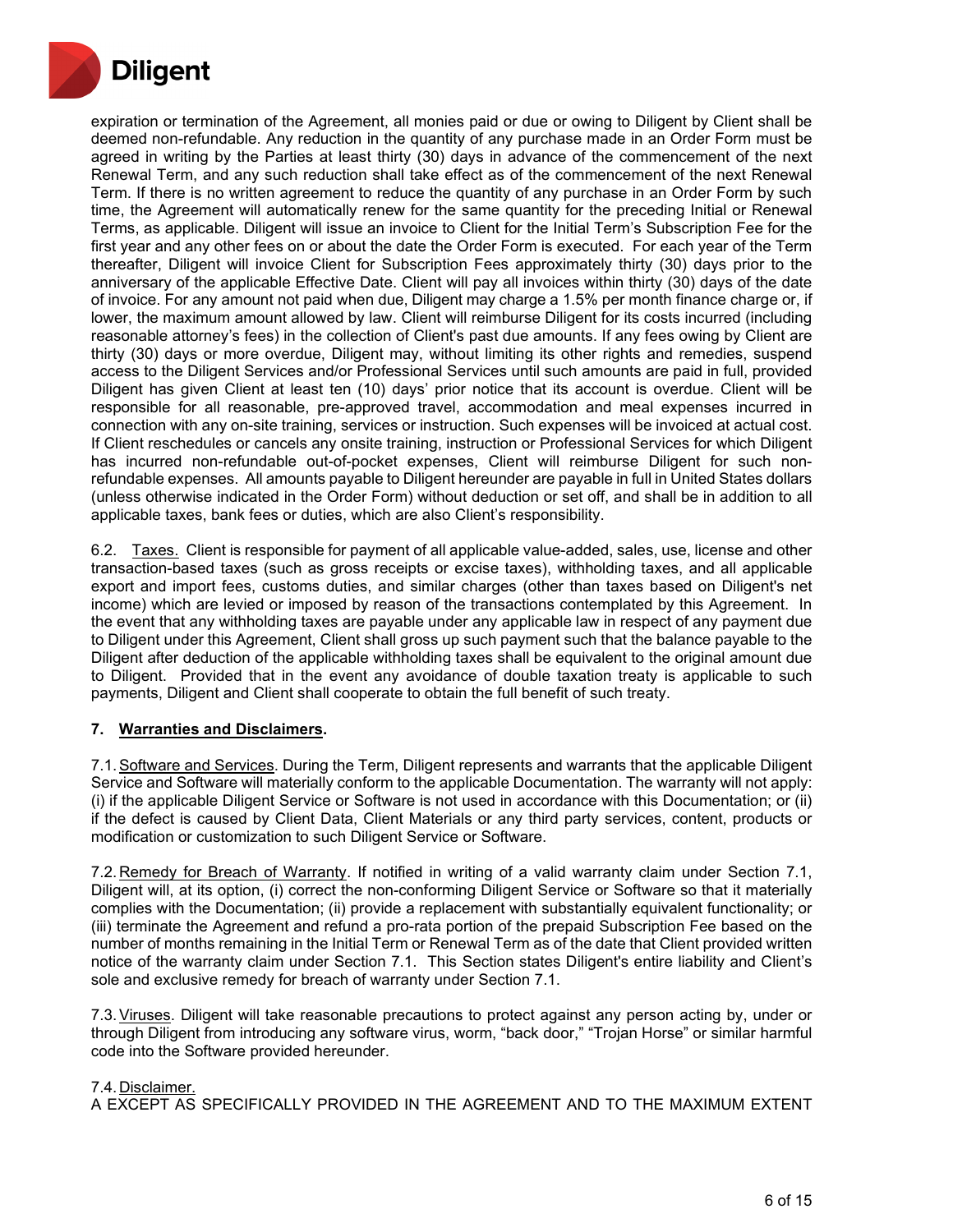

expiration or termination of the Agreement, all monies paid or due or owing to Diligent by Client shall be deemed non-refundable. Any reduction in the quantity of any purchase made in an Order Form must be agreed in writing by the Parties at least thirty (30) days in advance of the commencement of the next Renewal Term, and any such reduction shall take effect as of the commencement of the next Renewal Term. If there is no written agreement to reduce the quantity of any purchase in an Order Form by such time, the Agreement will automatically renew for the same quantity for the preceding Initial or Renewal Terms, as applicable. Diligent will issue an invoice to Client for the Initial Term's Subscription Fee for the first year and any other fees on or about the date the Order Form is executed. For each year of the Term thereafter, Diligent will invoice Client for Subscription Fees approximately thirty (30) days prior to the anniversary of the applicable Effective Date. Client will pay all invoices within thirty (30) days of the date of invoice. For any amount not paid when due, Diligent may charge a 1.5% per month finance charge or, if lower, the maximum amount allowed by law. Client will reimburse Diligent for its costs incurred (including reasonable attorney's fees) in the collection of Client's past due amounts. If any fees owing by Client are thirty (30) days or more overdue, Diligent may, without limiting its other rights and remedies, suspend access to the Diligent Services and/or Professional Services until such amounts are paid in full, provided Diligent has given Client at least ten (10) days' prior notice that its account is overdue. Client will be responsible for all reasonable, pre-approved travel, accommodation and meal expenses incurred in connection with any on-site training, services or instruction. Such expenses will be invoiced at actual cost. If Client reschedules or cancels any onsite training, instruction or Professional Services for which Diligent has incurred non-refundable out-of-pocket expenses, Client will reimburse Diligent for such nonrefundable expenses. All amounts payable to Diligent hereunder are payable in full in United States dollars (unless otherwise indicated in the Order Form) without deduction or set off, and shall be in addition to all applicable taxes, bank fees or duties, which are also Client's responsibility.

6.2. Taxes. Client is responsible for payment of all applicable value-added, sales, use, license and other transaction-based taxes (such as gross receipts or excise taxes), withholding taxes, and all applicable export and import fees, customs duties, and similar charges (other than taxes based on Diligent's net income) which are levied or imposed by reason of the transactions contemplated by this Agreement. In the event that any withholding taxes are payable under any applicable law in respect of any payment due to Diligent under this Agreement, Client shall gross up such payment such that the balance payable to the Diligent after deduction of the applicable withholding taxes shall be equivalent to the original amount due to Diligent. Provided that in the event any avoidance of double taxation treaty is applicable to such payments, Diligent and Client shall cooperate to obtain the full benefit of such treaty.

#### **7. Warranties and Disclaimers.**

7.1.Software and Services. During the Term, Diligent represents and warrants that the applicable Diligent Service and Software will materially conform to the applicable Documentation. The warranty will not apply: (i) if the applicable Diligent Service or Software is not used in accordance with this Documentation; or (ii) if the defect is caused by Client Data, Client Materials or any third party services, content, products or modification or customization to such Diligent Service or Software.

7.2. Remedy for Breach of Warranty. If notified in writing of a valid warranty claim under Section 7.1, Diligent will, at its option, (i) correct the non-conforming Diligent Service or Software so that it materially complies with the Documentation; (ii) provide a replacement with substantially equivalent functionality; or (iii) terminate the Agreement and refund a pro-rata portion of the prepaid Subscription Fee based on the number of months remaining in the Initial Term or Renewal Term as of the date that Client provided written notice of the warranty claim under Section 7.1. This Section states Diligent's entire liability and Client's sole and exclusive remedy for breach of warranty under Section 7.1.

7.3.Viruses. Diligent will take reasonable precautions to protect against any person acting by, under or through Diligent from introducing any software virus, worm, "back door," "Trojan Horse" or similar harmful code into the Software provided hereunder.

#### 7.4. Disclaimer.

A EXCEPT AS SPECIFICALLY PROVIDED IN THE AGREEMENT AND TO THE MAXIMUM EXTENT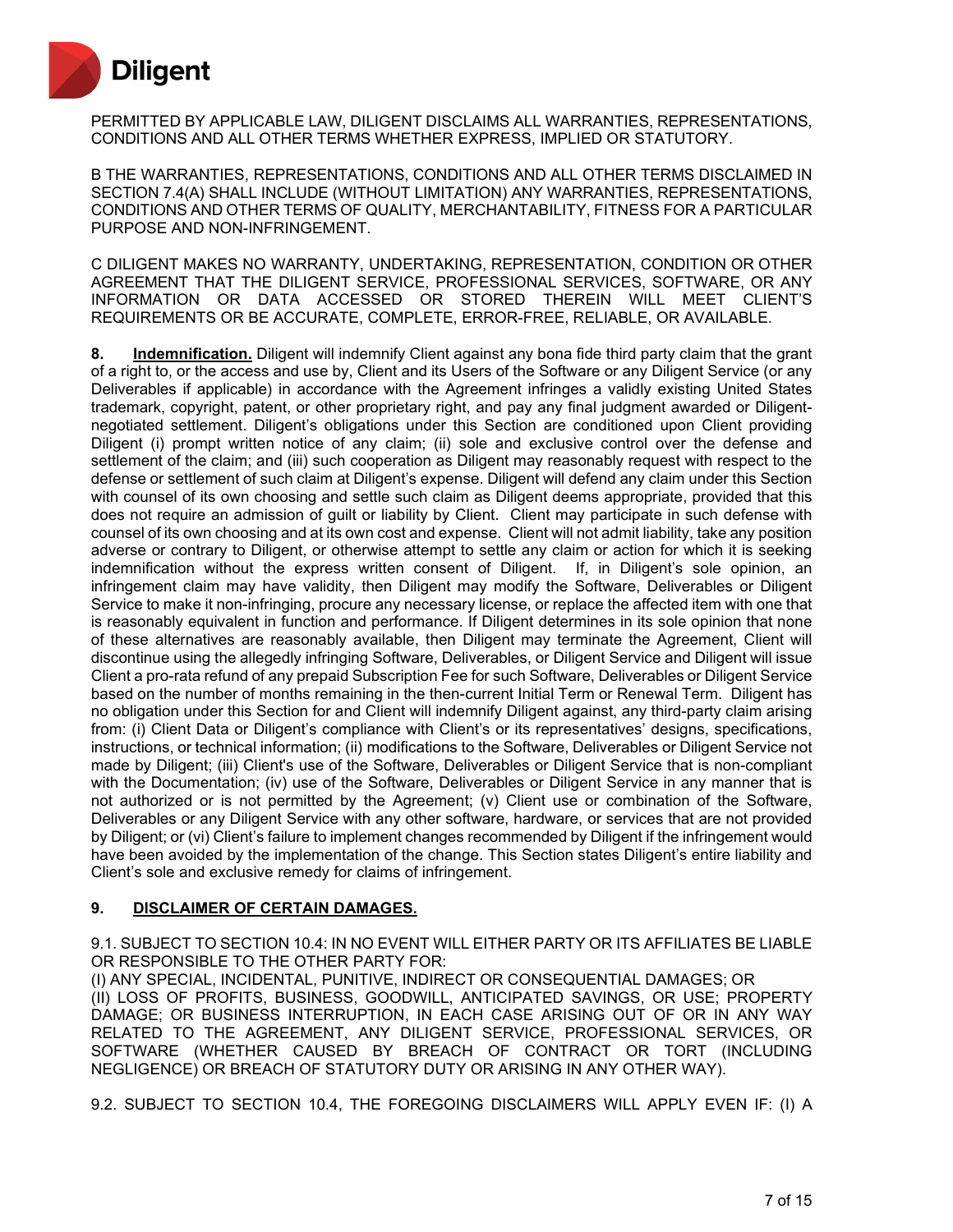

PERMITTED BY APPLICABLE LAW, DILIGENT DISCLAIMS ALL WARRANTIES, REPRESENTATIONS, CONDITIONS AND ALL OTHER TERMS WHETHER EXPRESS, IMPLIED OR STATUTORY.

B THE WARRANTIES, REPRESENTATIONS, CONDITIONS AND ALL OTHER TERMS DISCLAIMED IN SECTION 7.4(A) SHALL INCLUDE (WITHOUT LIMITATION) ANY WARRANTIES, REPRESENTATIONS, CONDITIONS AND OTHER TERMS OF QUALITY, MERCHANTABILITY, FITNESS FOR A PARTICULAR PURPOSE AND NON-INFRINGEMENT.

C DILIGENT MAKES NO WARRANTY, UNDERTAKING, REPRESENTATION, CONDITION OR OTHER AGREEMENT THAT THE DILIGENT SERVICE, PROFESSIONAL SERVICES, SOFTWARE, OR ANY INFORMATION OR DATA ACCESSED OR STORED THEREIN WILL MEET CLIENT'S REQUIREMENTS OR BE ACCURATE, COMPLETE, ERROR-FREE, RELIABLE, OR AVAILABLE.

**8. Indemnification.** Diligent will indemnify Client against any bona fide third party claim that the grant of a right to, or the access and use by, Client and its Users of the Software or any Diligent Service (or any Deliverables if applicable) in accordance with the Agreement infringes a validly existing United States trademark, copyright, patent, or other proprietary right, and pay any final judgment awarded or Diligentnegotiated settlement. Diligent's obligations under this Section are conditioned upon Client providing Diligent (i) prompt written notice of any claim; (ii) sole and exclusive control over the defense and settlement of the claim; and (iii) such cooperation as Diligent may reasonably request with respect to the defense or settlement of such claim at Diligent's expense. Diligent will defend any claim under this Section with counsel of its own choosing and settle such claim as Diligent deems appropriate, provided that this does not require an admission of guilt or liability by Client. Client may participate in such defense with counsel of its own choosing and at its own cost and expense. Client will not admit liability, take any position adverse or contrary to Diligent, or otherwise attempt to settle any claim or action for which it is seeking indemnification without the express written consent of Diligent. If, in Diligent's sole opinion, an infringement claim may have validity, then Diligent may modify the Software, Deliverables or Diligent Service to make it non-infringing, procure any necessary license, or replace the affected item with one that is reasonably equivalent in function and performance. If Diligent determines in its sole opinion that none of these alternatives are reasonably available, then Diligent may terminate the Agreement, Client will discontinue using the allegedly infringing Software, Deliverables, or Diligent Service and Diligent will issue Client a pro-rata refund of any prepaid Subscription Fee for such Software, Deliverables or Diligent Service based on the number of months remaining in the then-current Initial Term or Renewal Term. Diligent has no obligation under this Section for and Client will indemnify Diligent against, any third-party claim arising from: (i) Client Data or Diligent's compliance with Client's or its representatives' designs, specifications, instructions, or technical information; (ii) modifications to the Software, Deliverables or Diligent Service not made by Diligent; (iii) Client's use of the Software, Deliverables or Diligent Service that is non-compliant with the Documentation; (iv) use of the Software, Deliverables or Diligent Service in any manner that is not authorized or is not permitted by the Agreement; (v) Client use or combination of the Software, Deliverables or any Diligent Service with any other software, hardware, or services that are not provided by Diligent; or (vi) Client's failure to implement changes recommended by Diligent if the infringement would have been avoided by the implementation of the change. This Section states Diligent's entire liability and Client's sole and exclusive remedy for claims of infringement.

### **9. DISCLAIMER OF CERTAIN DAMAGES.**

9.1. SUBJECT TO SECTION 10.4: IN NO EVENT WILL EITHER PARTY OR ITS AFFILIATES BE LIABLE OR RESPONSIBLE TO THE OTHER PARTY FOR:

(I) ANY SPECIAL, INCIDENTAL, PUNITIVE, INDIRECT OR CONSEQUENTIAL DAMAGES; OR (II) LOSS OF PROFITS, BUSINESS, GOODWILL, ANTICIPATED SAVINGS, OR USE; PROPERTY DAMAGE; OR BUSINESS INTERRUPTION, IN EACH CASE ARISING OUT OF OR IN ANY WAY RELATED TO THE AGREEMENT, ANY DILIGENT SERVICE, PROFESSIONAL SERVICES, OR SOFTWARE (WHETHER CAUSED BY BREACH OF CONTRACT OR TORT (INCLUDING NEGLIGENCE) OR BREACH OF STATUTORY DUTY OR ARISING IN ANY OTHER WAY).

9.2. SUBJECT TO SECTION 10.4, THE FOREGOING DISCLAIMERS WILL APPLY EVEN IF: (I) A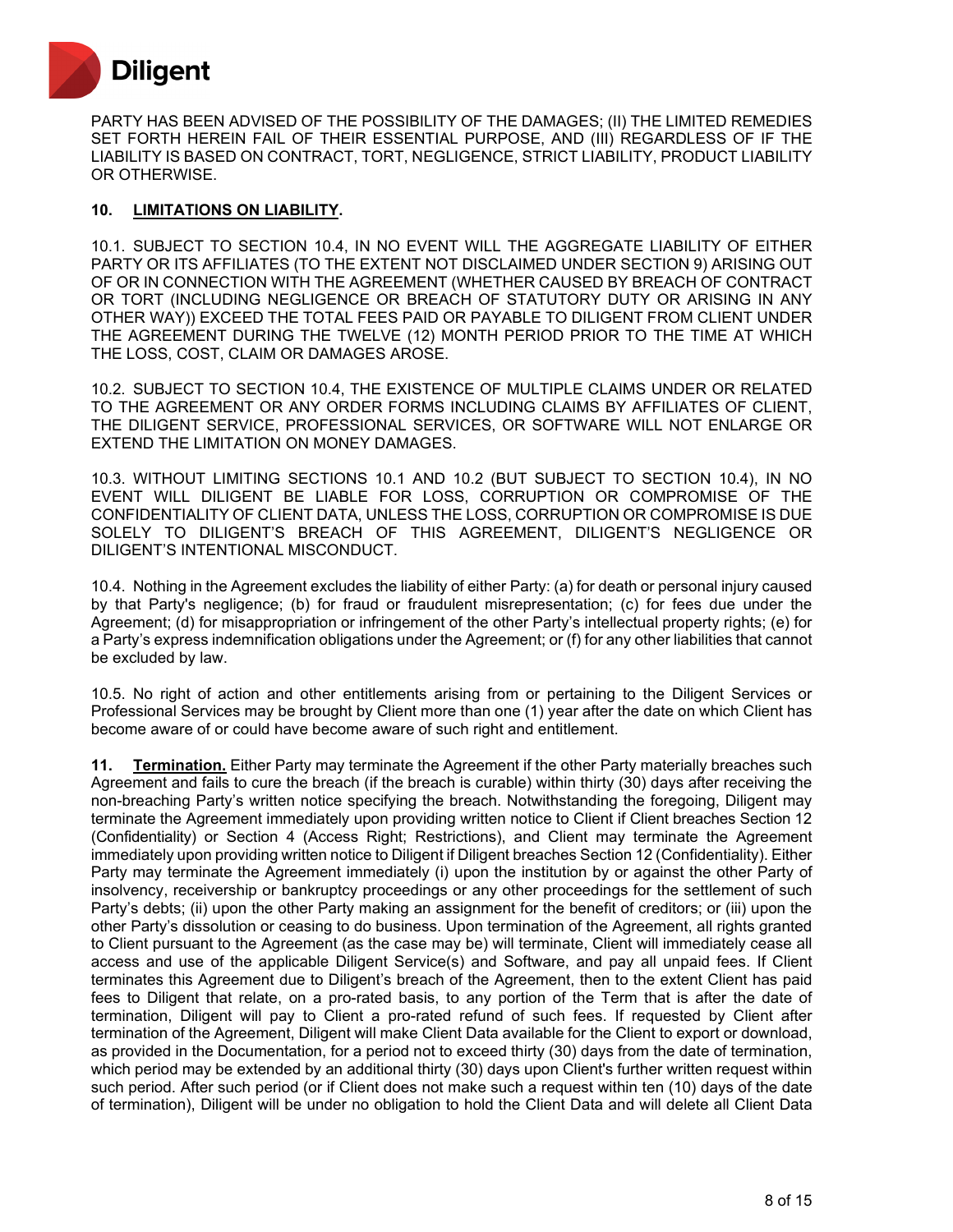

PARTY HAS BEEN ADVISED OF THE POSSIBILITY OF THE DAMAGES; (II) THE LIMITED REMEDIES SET FORTH HEREIN FAIL OF THEIR ESSENTIAL PURPOSE, AND (III) REGARDLESS OF IF THE LIABILITY IS BASED ON CONTRACT, TORT, NEGLIGENCE, STRICT LIABILITY, PRODUCT LIABILITY OR OTHERWISE.

## **10. LIMITATIONS ON LIABILITY.**

10.1. SUBJECT TO SECTION 10.4, IN NO EVENT WILL THE AGGREGATE LIABILITY OF EITHER PARTY OR ITS AFFILIATES (TO THE EXTENT NOT DISCLAIMED UNDER SECTION 9) ARISING OUT OF OR IN CONNECTION WITH THE AGREEMENT (WHETHER CAUSED BY BREACH OF CONTRACT OR TORT (INCLUDING NEGLIGENCE OR BREACH OF STATUTORY DUTY OR ARISING IN ANY OTHER WAY)) EXCEED THE TOTAL FEES PAID OR PAYABLE TO DILIGENT FROM CLIENT UNDER THE AGREEMENT DURING THE TWELVE (12) MONTH PERIOD PRIOR TO THE TIME AT WHICH THE LOSS, COST, CLAIM OR DAMAGES AROSE.

10.2. SUBJECT TO SECTION 10.4, THE EXISTENCE OF MULTIPLE CLAIMS UNDER OR RELATED TO THE AGREEMENT OR ANY ORDER FORMS INCLUDING CLAIMS BY AFFILIATES OF CLIENT, THE DILIGENT SERVICE, PROFESSIONAL SERVICES, OR SOFTWARE WILL NOT ENLARGE OR EXTEND THE LIMITATION ON MONEY DAMAGES.

10.3. WITHOUT LIMITING SECTIONS 10.1 AND 10.2 (BUT SUBJECT TO SECTION 10.4), IN NO EVENT WILL DILIGENT BE LIABLE FOR LOSS, CORRUPTION OR COMPROMISE OF THE CONFIDENTIALITY OF CLIENT DATA, UNLESS THE LOSS, CORRUPTION OR COMPROMISE IS DUE SOLELY TO DILIGENT'S BREACH OF THIS AGREEMENT, DILIGENT'S NEGLIGENCE OR DILIGENT'S INTENTIONAL MISCONDUCT.

10.4. Nothing in the Agreement excludes the liability of either Party: (a) for death or personal injury caused by that Party's negligence; (b) for fraud or fraudulent misrepresentation; (c) for fees due under the Agreement; (d) for misappropriation or infringement of the other Party's intellectual property rights; (e) for a Party's express indemnification obligations under the Agreement; or (f) for any other liabilities that cannot be excluded by law.

10.5. No right of action and other entitlements arising from or pertaining to the Diligent Services or Professional Services may be brought by Client more than one (1) year after the date on which Client has become aware of or could have become aware of such right and entitlement.

**11. Termination.** Either Party may terminate the Agreement if the other Party materially breaches such Agreement and fails to cure the breach (if the breach is curable) within thirty (30) days after receiving the non-breaching Party's written notice specifying the breach. Notwithstanding the foregoing, Diligent may terminate the Agreement immediately upon providing written notice to Client if Client breaches Section 12 (Confidentiality) or Section 4 (Access Right; Restrictions), and Client may terminate the Agreement immediately upon providing written notice to Diligent if Diligent breaches Section 12 (Confidentiality). Either Party may terminate the Agreement immediately (i) upon the institution by or against the other Party of insolvency, receivership or bankruptcy proceedings or any other proceedings for the settlement of such Party's debts; (ii) upon the other Party making an assignment for the benefit of creditors; or (iii) upon the other Party's dissolution or ceasing to do business. Upon termination of the Agreement, all rights granted to Client pursuant to the Agreement (as the case may be) will terminate, Client will immediately cease all access and use of the applicable Diligent Service(s) and Software, and pay all unpaid fees. If Client terminates this Agreement due to Diligent's breach of the Agreement, then to the extent Client has paid fees to Diligent that relate, on a pro-rated basis, to any portion of the Term that is after the date of termination, Diligent will pay to Client a pro-rated refund of such fees. If requested by Client after termination of the Agreement, Diligent will make Client Data available for the Client to export or download, as provided in the Documentation, for a period not to exceed thirty (30) days from the date of termination, which period may be extended by an additional thirty (30) days upon Client's further written request within such period. After such period (or if Client does not make such a request within ten (10) days of the date of termination), Diligent will be under no obligation to hold the Client Data and will delete all Client Data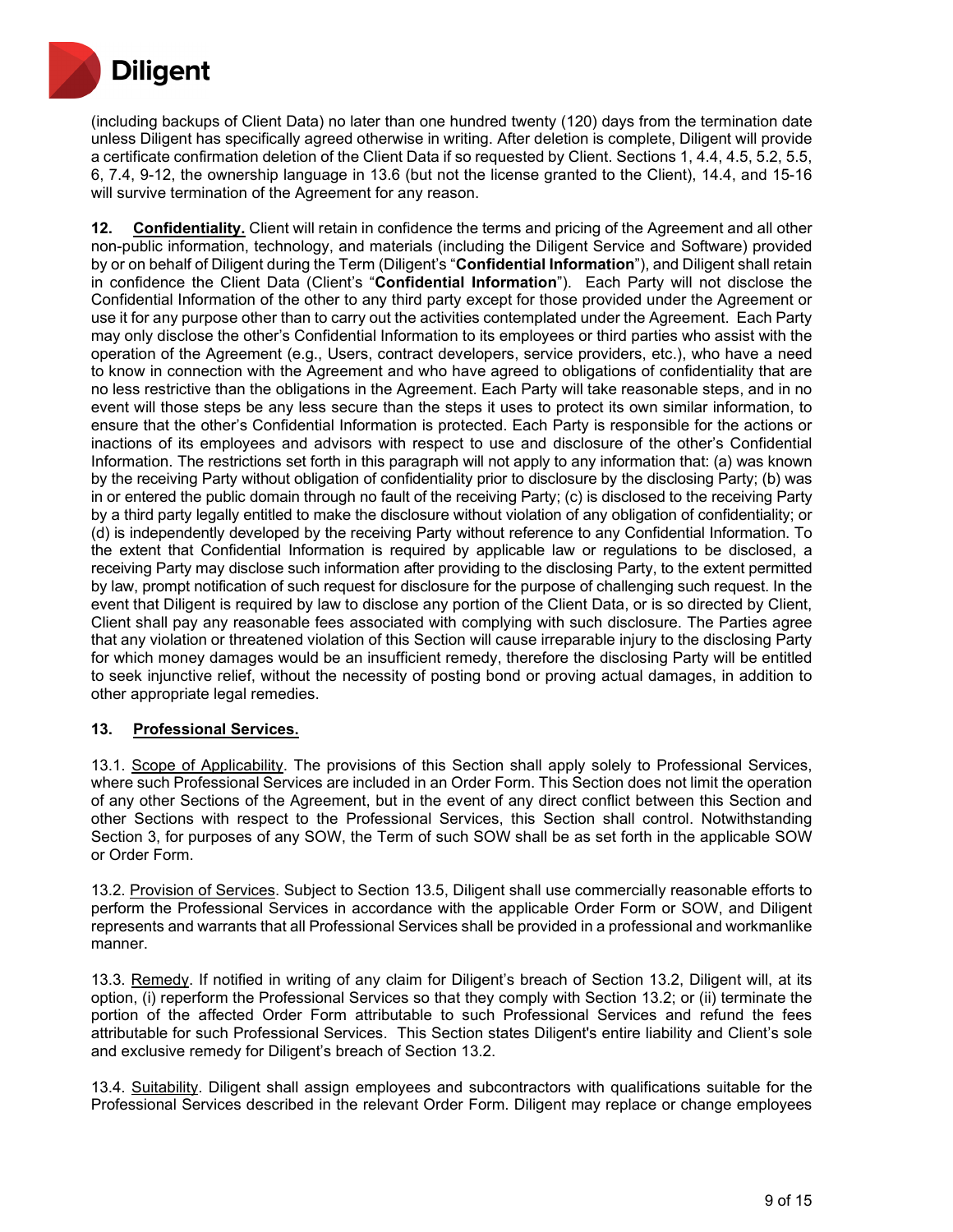

(including backups of Client Data) no later than one hundred twenty (120) days from the termination date unless Diligent has specifically agreed otherwise in writing. After deletion is complete, Diligent will provide a certificate confirmation deletion of the Client Data if so requested by Client. Sections 1, 4.4, 4.5, 5.2, 5.5, 6, 7.4, 9-12, the ownership language in 13.6 (but not the license granted to the Client), 14.4, and 15-16 will survive termination of the Agreement for any reason.

**12. Confidentiality.** Client will retain in confidence the terms and pricing of the Agreement and all other non-public information, technology, and materials (including the Diligent Service and Software) provided by or on behalf of Diligent during the Term (Diligent's "**Confidential Information**"), and Diligent shall retain in confidence the Client Data (Client's "**Confidential Information**"). Each Party will not disclose the Confidential Information of the other to any third party except for those provided under the Agreement or use it for any purpose other than to carry out the activities contemplated under the Agreement. Each Party may only disclose the other's Confidential Information to its employees or third parties who assist with the operation of the Agreement (e.g., Users, contract developers, service providers, etc.), who have a need to know in connection with the Agreement and who have agreed to obligations of confidentiality that are no less restrictive than the obligations in the Agreement. Each Party will take reasonable steps, and in no event will those steps be any less secure than the steps it uses to protect its own similar information, to ensure that the other's Confidential Information is protected. Each Party is responsible for the actions or inactions of its employees and advisors with respect to use and disclosure of the other's Confidential Information. The restrictions set forth in this paragraph will not apply to any information that: (a) was known by the receiving Party without obligation of confidentiality prior to disclosure by the disclosing Party; (b) was in or entered the public domain through no fault of the receiving Party; (c) is disclosed to the receiving Party by a third party legally entitled to make the disclosure without violation of any obligation of confidentiality; or (d) is independently developed by the receiving Party without reference to any Confidential Information. To the extent that Confidential Information is required by applicable law or regulations to be disclosed, a receiving Party may disclose such information after providing to the disclosing Party, to the extent permitted by law, prompt notification of such request for disclosure for the purpose of challenging such request. In the event that Diligent is required by law to disclose any portion of the Client Data, or is so directed by Client, Client shall pay any reasonable fees associated with complying with such disclosure. The Parties agree that any violation or threatened violation of this Section will cause irreparable injury to the disclosing Party for which money damages would be an insufficient remedy, therefore the disclosing Party will be entitled to seek injunctive relief, without the necessity of posting bond or proving actual damages, in addition to other appropriate legal remedies.

### **13. Professional Services.**

13.1. Scope of Applicability. The provisions of this Section shall apply solely to Professional Services, where such Professional Services are included in an Order Form. This Section does not limit the operation of any other Sections of the Agreement, but in the event of any direct conflict between this Section and other Sections with respect to the Professional Services, this Section shall control. Notwithstanding Section 3, for purposes of any SOW, the Term of such SOW shall be as set forth in the applicable SOW or Order Form.

13.2. Provision of Services. Subject to Section 13.5, Diligent shall use commercially reasonable efforts to perform the Professional Services in accordance with the applicable Order Form or SOW, and Diligent represents and warrants that all Professional Services shall be provided in a professional and workmanlike manner.

13.3. Remedy. If notified in writing of any claim for Diligent's breach of Section 13.2, Diligent will, at its option, (i) reperform the Professional Services so that they comply with Section 13.2; or (ii) terminate the portion of the affected Order Form attributable to such Professional Services and refund the fees attributable for such Professional Services. This Section states Diligent's entire liability and Client's sole and exclusive remedy for Diligent's breach of Section 13.2.

13.4. Suitability. Diligent shall assign employees and subcontractors with qualifications suitable for the Professional Services described in the relevant Order Form. Diligent may replace or change employees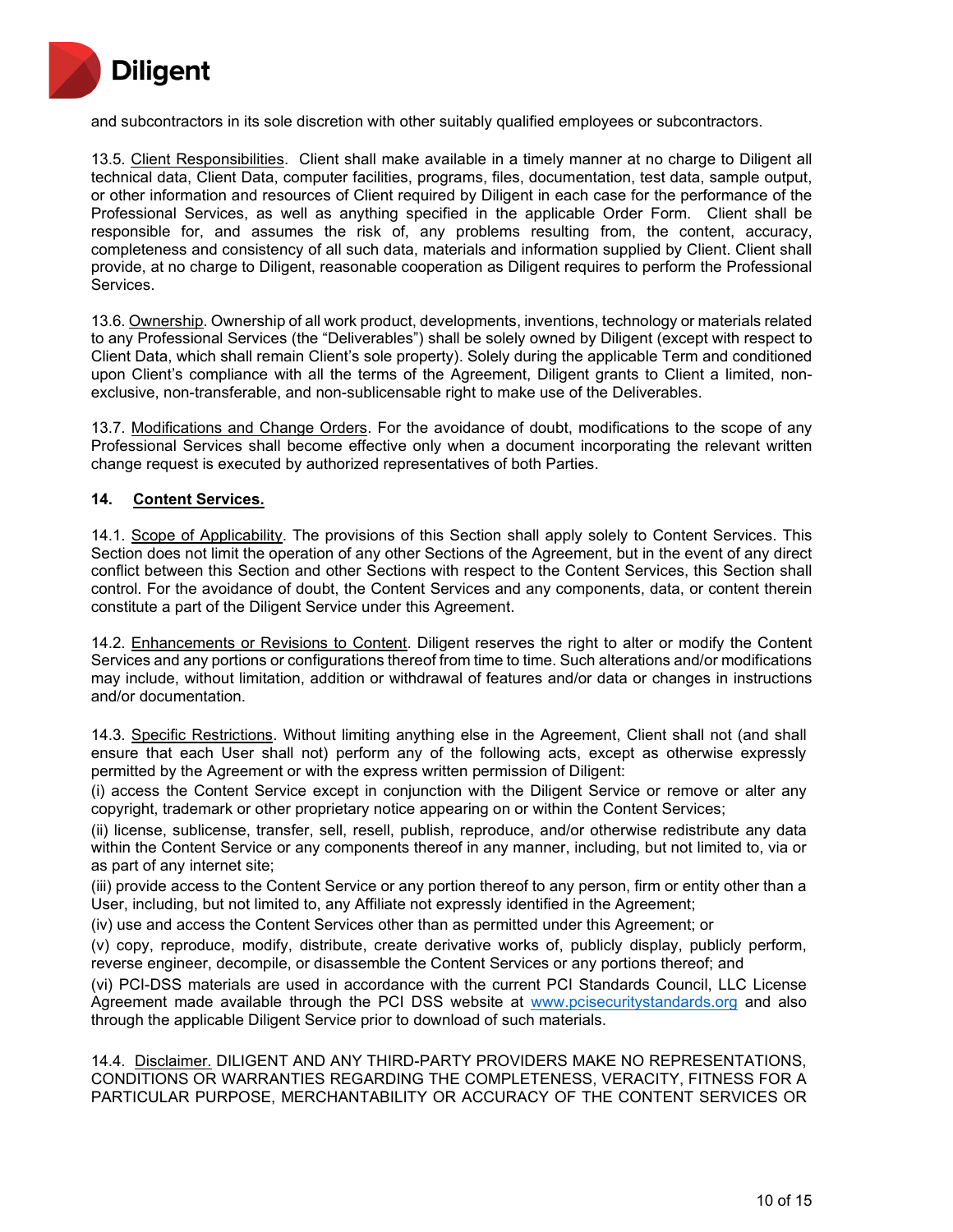

and subcontractors in its sole discretion with other suitably qualified employees or subcontractors.

13.5. Client Responsibilities. Client shall make available in a timely manner at no charge to Diligent all technical data, Client Data, computer facilities, programs, files, documentation, test data, sample output, or other information and resources of Client required by Diligent in each case for the performance of the Professional Services, as well as anything specified in the applicable Order Form. Client shall be responsible for, and assumes the risk of, any problems resulting from, the content, accuracy, completeness and consistency of all such data, materials and information supplied by Client. Client shall provide, at no charge to Diligent, reasonable cooperation as Diligent requires to perform the Professional Services.

13.6. Ownership. Ownership of all work product, developments, inventions, technology or materials related to any Professional Services (the "Deliverables") shall be solely owned by Diligent (except with respect to Client Data, which shall remain Client's sole property). Solely during the applicable Term and conditioned upon Client's compliance with all the terms of the Agreement, Diligent grants to Client a limited, nonexclusive, non-transferable, and non-sublicensable right to make use of the Deliverables.

13.7. Modifications and Change Orders. For the avoidance of doubt, modifications to the scope of any Professional Services shall become effective only when a document incorporating the relevant written change request is executed by authorized representatives of both Parties.

## **14. Content Services.**

14.1. Scope of Applicability. The provisions of this Section shall apply solely to Content Services. This Section does not limit the operation of any other Sections of the Agreement, but in the event of any direct conflict between this Section and other Sections with respect to the Content Services, this Section shall control. For the avoidance of doubt, the Content Services and any components, data, or content therein constitute a part of the Diligent Service under this Agreement.

14.2. Enhancements or Revisions to Content. Diligent reserves the right to alter or modify the Content Services and any portions or configurations thereof from time to time. Such alterations and/or modifications may include, without limitation, addition or withdrawal of features and/or data or changes in instructions and/or documentation.

14.3. Specific Restrictions. Without limiting anything else in the Agreement, Client shall not (and shall ensure that each User shall not) perform any of the following acts, except as otherwise expressly permitted by the Agreement or with the express written permission of Diligent:

(i) access the Content Service except in conjunction with the Diligent Service or remove or alter any copyright, trademark or other proprietary notice appearing on or within the Content Services;

(ii) license, sublicense, transfer, sell, resell, publish, reproduce, and/or otherwise redistribute any data within the Content Service or any components thereof in any manner, including, but not limited to, via or as part of any internet site;

(iii) provide access to the Content Service or any portion thereof to any person, firm or entity other than a User, including, but not limited to, any Affiliate not expressly identified in the Agreement;

(iv) use and access the Content Services other than as permitted under this Agreement; or

(v) copy, reproduce, modify, distribute, create derivative works of, publicly display, publicly perform, reverse engineer, decompile, or disassemble the Content Services or any portions thereof; and

(vi) PCI-DSS materials are used in accordance with the current PCI Standards Council, LLC License Agreement made available through the PCI DSS website at [www.pcisecuritystandards.org](http://www.pcisecuritystandards.org/) and also through the applicable Diligent Service prior to download of such materials.

14.4. Disclaimer. DILIGENT AND ANY THIRD-PARTY PROVIDERS MAKE NO REPRESENTATIONS, CONDITIONS OR WARRANTIES REGARDING THE COMPLETENESS, VERACITY, FITNESS FOR A PARTICULAR PURPOSE, MERCHANTABILITY OR ACCURACY OF THE CONTENT SERVICES OR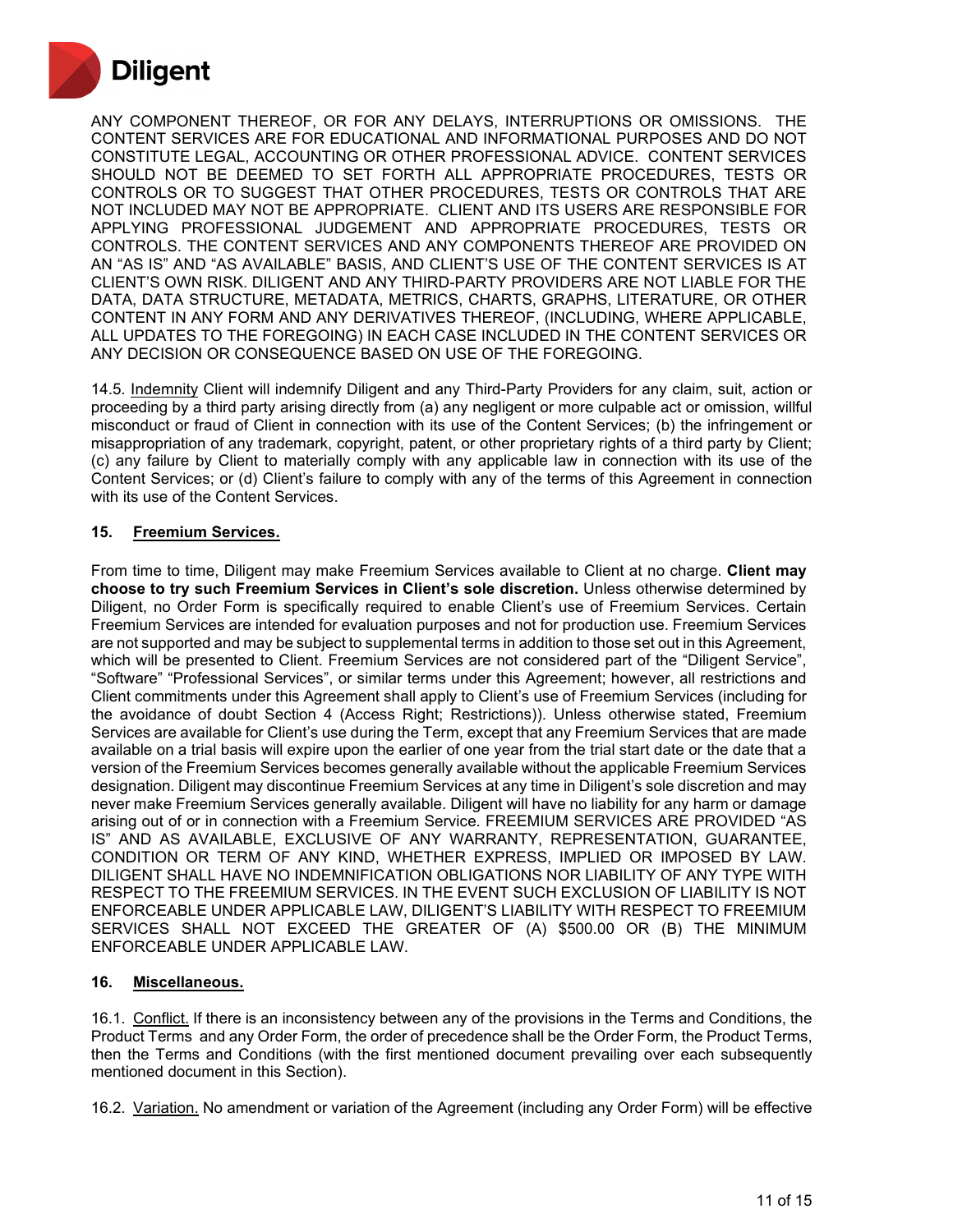

ANY COMPONENT THEREOF, OR FOR ANY DELAYS, INTERRUPTIONS OR OMISSIONS. THE CONTENT SERVICES ARE FOR EDUCATIONAL AND INFORMATIONAL PURPOSES AND DO NOT CONSTITUTE LEGAL, ACCOUNTING OR OTHER PROFESSIONAL ADVICE. CONTENT SERVICES SHOULD NOT BE DEEMED TO SET FORTH ALL APPROPRIATE PROCEDURES, TESTS OR CONTROLS OR TO SUGGEST THAT OTHER PROCEDURES, TESTS OR CONTROLS THAT ARE NOT INCLUDED MAY NOT BE APPROPRIATE. CLIENT AND ITS USERS ARE RESPONSIBLE FOR APPLYING PROFESSIONAL JUDGEMENT AND APPROPRIATE PROCEDURES, TESTS OR CONTROLS. THE CONTENT SERVICES AND ANY COMPONENTS THEREOF ARE PROVIDED ON AN "AS IS" AND "AS AVAILABLE" BASIS, AND CLIENT'S USE OF THE CONTENT SERVICES IS AT CLIENT'S OWN RISK. DILIGENT AND ANY THIRD-PARTY PROVIDERS ARE NOT LIABLE FOR THE DATA, DATA STRUCTURE, METADATA, METRICS, CHARTS, GRAPHS, LITERATURE, OR OTHER CONTENT IN ANY FORM AND ANY DERIVATIVES THEREOF, (INCLUDING, WHERE APPLICABLE, ALL UPDATES TO THE FOREGOING) IN EACH CASE INCLUDED IN THE CONTENT SERVICES OR ANY DECISION OR CONSEQUENCE BASED ON USE OF THE FOREGOING.

14.5. Indemnity Client will indemnify Diligent and any Third-Party Providers for any claim, suit, action or proceeding by a third party arising directly from (a) any negligent or more culpable act or omission, willful misconduct or fraud of Client in connection with its use of the Content Services; (b) the infringement or misappropriation of any trademark, copyright, patent, or other proprietary rights of a third party by Client; (c) any failure by Client to materially comply with any applicable law in connection with its use of the Content Services; or (d) Client's failure to comply with any of the terms of this Agreement in connection with its use of the Content Services.

#### **15. Freemium Services.**

From time to time, Diligent may make Freemium Services available to Client at no charge. **Client may choose to try such Freemium Services in Client's sole discretion.** Unless otherwise determined by Diligent, no Order Form is specifically required to enable Client's use of Freemium Services. Certain Freemium Services are intended for evaluation purposes and not for production use. Freemium Services are not supported and may be subject to supplemental terms in addition to those set out in this Agreement, which will be presented to Client. Freemium Services are not considered part of the "Diligent Service", "Software" "Professional Services", or similar terms under this Agreement; however, all restrictions and Client commitments under this Agreement shall apply to Client's use of Freemium Services (including for the avoidance of doubt Section 4 (Access Right; Restrictions)). Unless otherwise stated, Freemium Services are available for Client's use during the Term, except that any Freemium Services that are made available on a trial basis will expire upon the earlier of one year from the trial start date or the date that a version of the Freemium Services becomes generally available without the applicable Freemium Services designation. Diligent may discontinue Freemium Services at any time in Diligent's sole discretion and may never make Freemium Services generally available. Diligent will have no liability for any harm or damage arising out of or in connection with a Freemium Service. FREEMIUM SERVICES ARE PROVIDED "AS IS" AND AS AVAILABLE, EXCLUSIVE OF ANY WARRANTY, REPRESENTATION, GUARANTEE, CONDITION OR TERM OF ANY KIND, WHETHER EXPRESS, IMPLIED OR IMPOSED BY LAW. DILIGENT SHALL HAVE NO INDEMNIFICATION OBLIGATIONS NOR LIABILITY OF ANY TYPE WITH RESPECT TO THE FREEMIUM SERVICES. IN THE EVENT SUCH EXCLUSION OF LIABILITY IS NOT ENFORCEABLE UNDER APPLICABLE LAW, DILIGENT'S LIABILITY WITH RESPECT TO FREEMIUM SERVICES SHALL NOT EXCEED THE GREATER OF (A) \$500.00 OR (B) THE MINIMUM ENFORCEABLE UNDER APPLICABLE LAW.

### **16. Miscellaneous.**

16.1. Conflict. If there is an inconsistency between any of the provisions in the Terms and Conditions, the Product Terms and any Order Form, the order of precedence shall be the Order Form, the Product Terms, then the Terms and Conditions (with the first mentioned document prevailing over each subsequently mentioned document in this Section).

16.2. Variation. No amendment or variation of the Agreement (including any Order Form) will be effective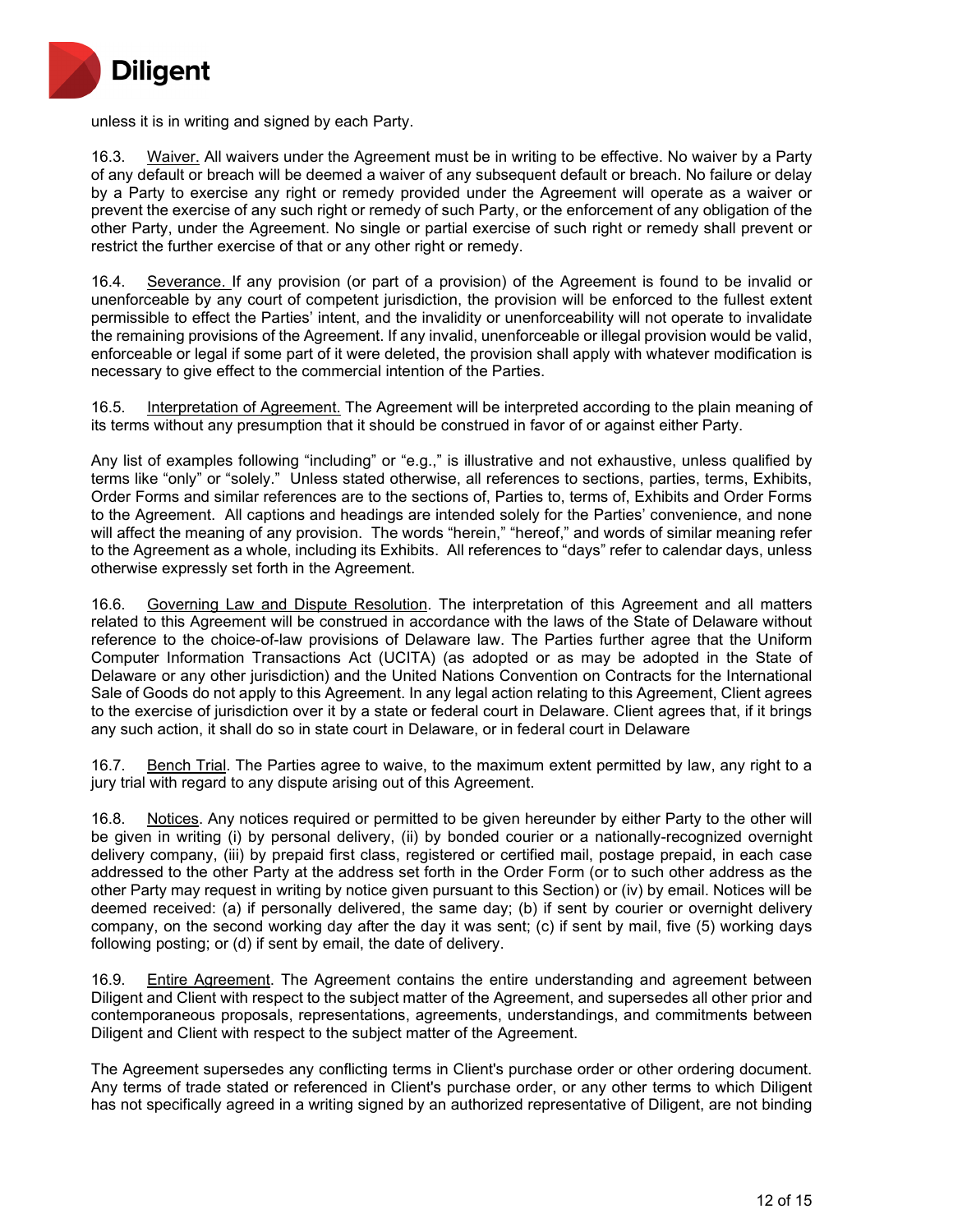

unless it is in writing and signed by each Party.

16.3. Waiver. All waivers under the Agreement must be in writing to be effective. No waiver by a Party of any default or breach will be deemed a waiver of any subsequent default or breach. No failure or delay by a Party to exercise any right or remedy provided under the Agreement will operate as a waiver or prevent the exercise of any such right or remedy of such Party, or the enforcement of any obligation of the other Party, under the Agreement. No single or partial exercise of such right or remedy shall prevent or restrict the further exercise of that or any other right or remedy.

16.4. Severance. If any provision (or part of a provision) of the Agreement is found to be invalid or unenforceable by any court of competent jurisdiction, the provision will be enforced to the fullest extent permissible to effect the Parties' intent, and the invalidity or unenforceability will not operate to invalidate the remaining provisions of the Agreement. If any invalid, unenforceable or illegal provision would be valid, enforceable or legal if some part of it were deleted, the provision shall apply with whatever modification is necessary to give effect to the commercial intention of the Parties.

16.5. Interpretation of Agreement. The Agreement will be interpreted according to the plain meaning of its terms without any presumption that it should be construed in favor of or against either Party.

Any list of examples following "including" or "e.g.," is illustrative and not exhaustive, unless qualified by terms like "only" or "solely." Unless stated otherwise, all references to sections, parties, terms, Exhibits, Order Forms and similar references are to the sections of, Parties to, terms of, Exhibits and Order Forms to the Agreement. All captions and headings are intended solely for the Parties' convenience, and none will affect the meaning of any provision. The words "herein," "hereof," and words of similar meaning refer to the Agreement as a whole, including its Exhibits. All references to "days" refer to calendar days, unless otherwise expressly set forth in the Agreement.

16.6. Governing Law and Dispute Resolution. The interpretation of this Agreement and all matters related to this Agreement will be construed in accordance with the laws of the State of Delaware without reference to the choice-of-law provisions of Delaware law. The Parties further agree that the Uniform Computer Information Transactions Act (UCITA) (as adopted or as may be adopted in the State of Delaware or any other jurisdiction) and the United Nations Convention on Contracts for the International Sale of Goods do not apply to this Agreement. In any legal action relating to this Agreement, Client agrees to the exercise of jurisdiction over it by a state or federal court in Delaware. Client agrees that, if it brings any such action, it shall do so in state court in Delaware, or in federal court in Delaware

16.7. Bench Trial. The Parties agree to waive, to the maximum extent permitted by law, any right to a jury trial with regard to any dispute arising out of this Agreement.

16.8. Notices. Any notices required or permitted to be given hereunder by either Party to the other will be given in writing (i) by personal delivery, (ii) by bonded courier or a nationally-recognized overnight delivery company, (iii) by prepaid first class, registered or certified mail, postage prepaid, in each case addressed to the other Party at the address set forth in the Order Form (or to such other address as the other Party may request in writing by notice given pursuant to this Section) or (iv) by email. Notices will be deemed received: (a) if personally delivered, the same day; (b) if sent by courier or overnight delivery company, on the second working day after the day it was sent; (c) if sent by mail, five (5) working days following posting; or (d) if sent by email, the date of delivery.

16.9. Entire Agreement. The Agreement contains the entire understanding and agreement between Diligent and Client with respect to the subject matter of the Agreement, and supersedes all other prior and contemporaneous proposals, representations, agreements, understandings, and commitments between Diligent and Client with respect to the subject matter of the Agreement.

The Agreement supersedes any conflicting terms in Client's purchase order or other ordering document. Any terms of trade stated or referenced in Client's purchase order, or any other terms to which Diligent has not specifically agreed in a writing signed by an authorized representative of Diligent, are not binding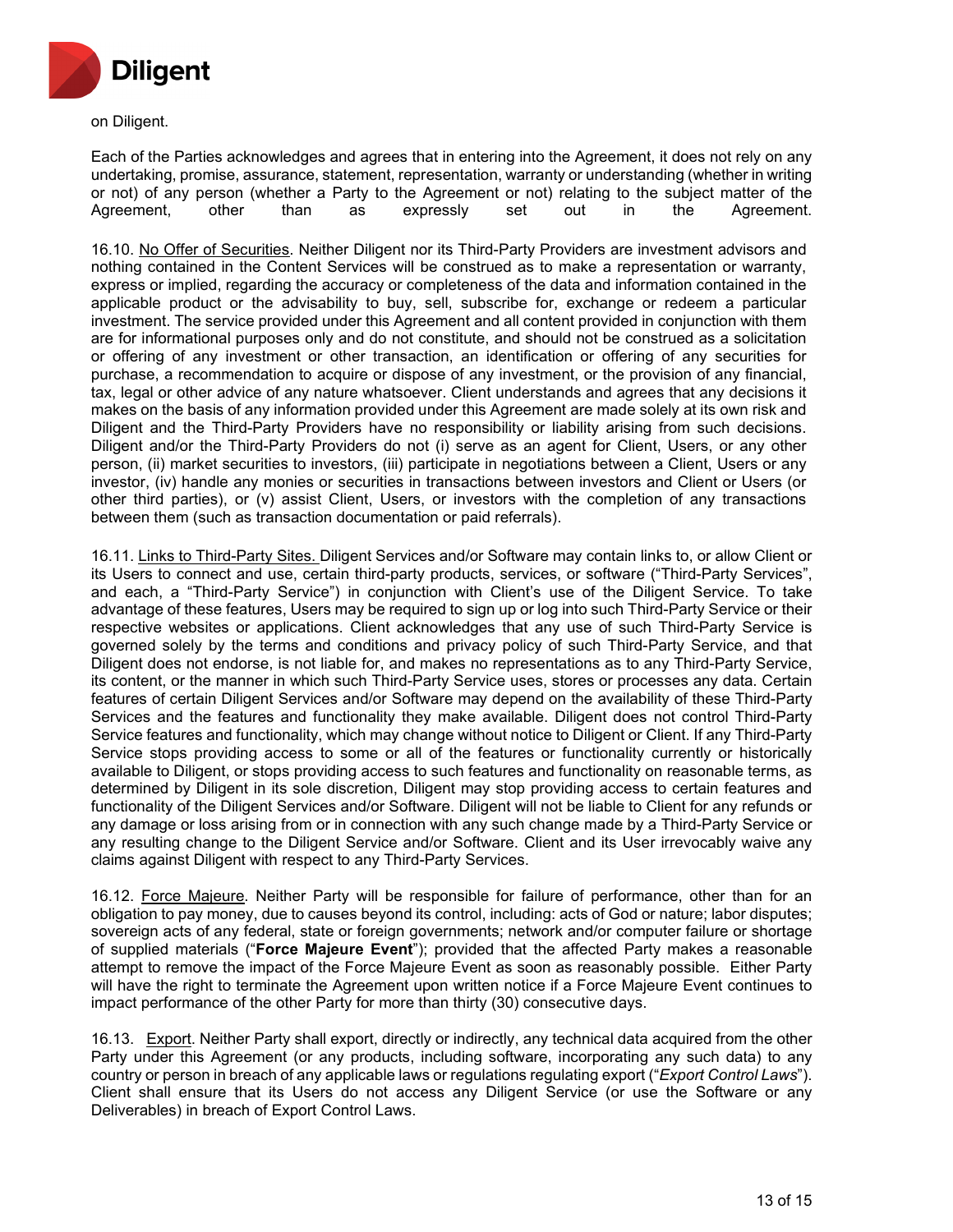

on Diligent.

Each of the Parties acknowledges and agrees that in entering into the Agreement, it does not rely on any undertaking, promise, assurance, statement, representation, warranty or understanding (whether in writing or not) of any person (whether a Party to the Agreement or not) relating to the subject matter of the Agreement, other than as expressly set out in the Agreement.

16.10. No Offer of Securities. Neither Diligent nor its Third-Party Providers are investment advisors and nothing contained in the Content Services will be construed as to make a representation or warranty, express or implied, regarding the accuracy or completeness of the data and information contained in the applicable product or the advisability to buy, sell, subscribe for, exchange or redeem a particular investment. The service provided under this Agreement and all content provided in conjunction with them are for informational purposes only and do not constitute, and should not be construed as a solicitation or offering of any investment or other transaction, an identification or offering of any securities for purchase, a recommendation to acquire or dispose of any investment, or the provision of any financial, tax, legal or other advice of any nature whatsoever. Client understands and agrees that any decisions it makes on the basis of any information provided under this Agreement are made solely at its own risk and Diligent and the Third-Party Providers have no responsibility or liability arising from such decisions. Diligent and/or the Third-Party Providers do not (i) serve as an agent for Client, Users, or any other person, (ii) market securities to investors, (iii) participate in negotiations between a Client, Users or any investor, (iv) handle any monies or securities in transactions between investors and Client or Users (or other third parties), or (v) assist Client, Users, or investors with the completion of any transactions between them (such as transaction documentation or paid referrals).

16.11. Links to Third-Party Sites. Diligent Services and/or Software may contain links to, or allow Client or its Users to connect and use, certain third-party products, services, or software ("Third-Party Services", and each, a "Third-Party Service") in conjunction with Client's use of the Diligent Service. To take advantage of these features, Users may be required to sign up or log into such Third-Party Service or their respective websites or applications. Client acknowledges that any use of such Third-Party Service is governed solely by the terms and conditions and privacy policy of such Third-Party Service, and that Diligent does not endorse, is not liable for, and makes no representations as to any Third-Party Service, its content, or the manner in which such Third-Party Service uses, stores or processes any data. Certain features of certain Diligent Services and/or Software may depend on the availability of these Third-Party Services and the features and functionality they make available. Diligent does not control Third-Party Service features and functionality, which may change without notice to Diligent or Client. If any Third-Party Service stops providing access to some or all of the features or functionality currently or historically available to Diligent, or stops providing access to such features and functionality on reasonable terms, as determined by Diligent in its sole discretion, Diligent may stop providing access to certain features and functionality of the Diligent Services and/or Software. Diligent will not be liable to Client for any refunds or any damage or loss arising from or in connection with any such change made by a Third-Party Service or any resulting change to the Diligent Service and/or Software. Client and its User irrevocably waive any claims against Diligent with respect to any Third-Party Services.

16.12. Force Majeure. Neither Party will be responsible for failure of performance, other than for an obligation to pay money, due to causes beyond its control, including: acts of God or nature; labor disputes; sovereign acts of any federal, state or foreign governments; network and/or computer failure or shortage of supplied materials ("**Force Majeure Event**"); provided that the affected Party makes a reasonable attempt to remove the impact of the Force Majeure Event as soon as reasonably possible. Either Party will have the right to terminate the Agreement upon written notice if a Force Majeure Event continues to impact performance of the other Party for more than thirty (30) consecutive days.

16.13. Export. Neither Party shall export, directly or indirectly, any technical data acquired from the other Party under this Agreement (or any products, including software, incorporating any such data) to any country or person in breach of any applicable laws or regulations regulating export ("*Export Control Laws*"). Client shall ensure that its Users do not access any Diligent Service (or use the Software or any Deliverables) in breach of Export Control Laws.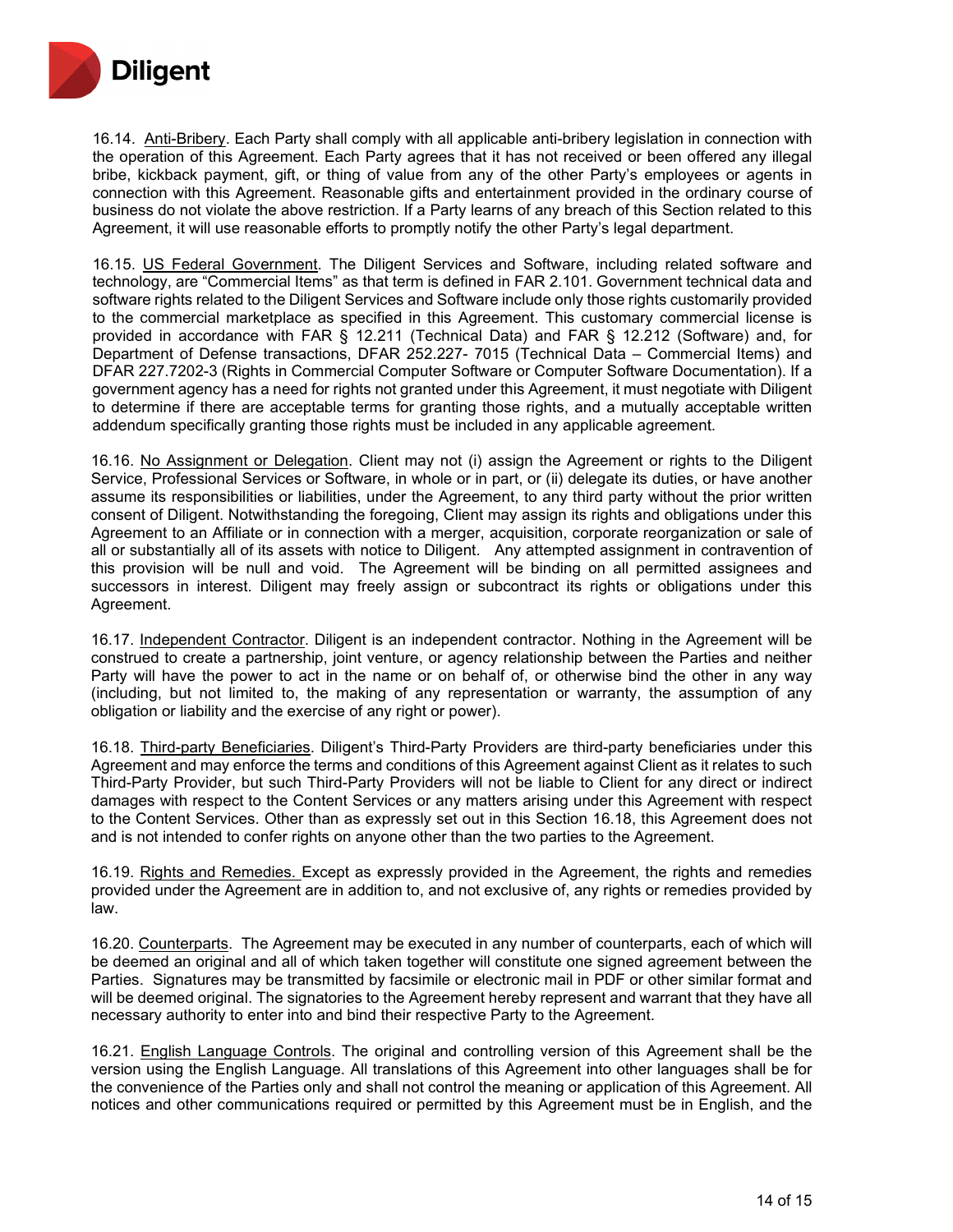

16.14. Anti-Bribery. Each Party shall comply with all applicable anti-bribery legislation in connection with the operation of this Agreement. Each Party agrees that it has not received or been offered any illegal bribe, kickback payment, gift, or thing of value from any of the other Party's employees or agents in connection with this Agreement. Reasonable gifts and entertainment provided in the ordinary course of business do not violate the above restriction. If a Party learns of any breach of this Section related to this Agreement, it will use reasonable efforts to promptly notify the other Party's legal department.

16.15. US Federal Government. The Diligent Services and Software, including related software and technology, are "Commercial Items" as that term is defined in FAR 2.101. Government technical data and software rights related to the Diligent Services and Software include only those rights customarily provided to the commercial marketplace as specified in this Agreement. This customary commercial license is provided in accordance with FAR § 12.211 (Technical Data) and FAR § 12.212 (Software) and, for Department of Defense transactions, DFAR 252.227- 7015 (Technical Data – Commercial Items) and DFAR 227.7202-3 (Rights in Commercial Computer Software or Computer Software Documentation). If a government agency has a need for rights not granted under this Agreement, it must negotiate with Diligent to determine if there are acceptable terms for granting those rights, and a mutually acceptable written addendum specifically granting those rights must be included in any applicable agreement.

16.16. No Assignment or Delegation. Client may not (i) assign the Agreement or rights to the Diligent Service, Professional Services or Software, in whole or in part, or (ii) delegate its duties, or have another assume its responsibilities or liabilities, under the Agreement, to any third party without the prior written consent of Diligent. Notwithstanding the foregoing, Client may assign its rights and obligations under this Agreement to an Affiliate or in connection with a merger, acquisition, corporate reorganization or sale of all or substantially all of its assets with notice to Diligent. Any attempted assignment in contravention of this provision will be null and void. The Agreement will be binding on all permitted assignees and successors in interest. Diligent may freely assign or subcontract its rights or obligations under this Agreement.

16.17. Independent Contractor. Diligent is an independent contractor. Nothing in the Agreement will be construed to create a partnership, joint venture, or agency relationship between the Parties and neither Party will have the power to act in the name or on behalf of, or otherwise bind the other in any way (including, but not limited to, the making of any representation or warranty, the assumption of any obligation or liability and the exercise of any right or power).

16.18. Third-party Beneficiaries. Diligent's Third-Party Providers are third-party beneficiaries under this Agreement and may enforce the terms and conditions of this Agreement against Client as it relates to such Third-Party Provider, but such Third-Party Providers will not be liable to Client for any direct or indirect damages with respect to the Content Services or any matters arising under this Agreement with respect to the Content Services. Other than as expressly set out in this Section 16.18, this Agreement does not and is not intended to confer rights on anyone other than the two parties to the Agreement.

16.19. Rights and Remedies. Except as expressly provided in the Agreement, the rights and remedies provided under the Agreement are in addition to, and not exclusive of, any rights or remedies provided by law.

16.20. Counterparts. The Agreement may be executed in any number of counterparts, each of which will be deemed an original and all of which taken together will constitute one signed agreement between the Parties. Signatures may be transmitted by facsimile or electronic mail in PDF or other similar format and will be deemed original. The signatories to the Agreement hereby represent and warrant that they have all necessary authority to enter into and bind their respective Party to the Agreement.

16.21. English Language Controls. The original and controlling version of this Agreement shall be the version using the English Language. All translations of this Agreement into other languages shall be for the convenience of the Parties only and shall not control the meaning or application of this Agreement. All notices and other communications required or permitted by this Agreement must be in English, and the